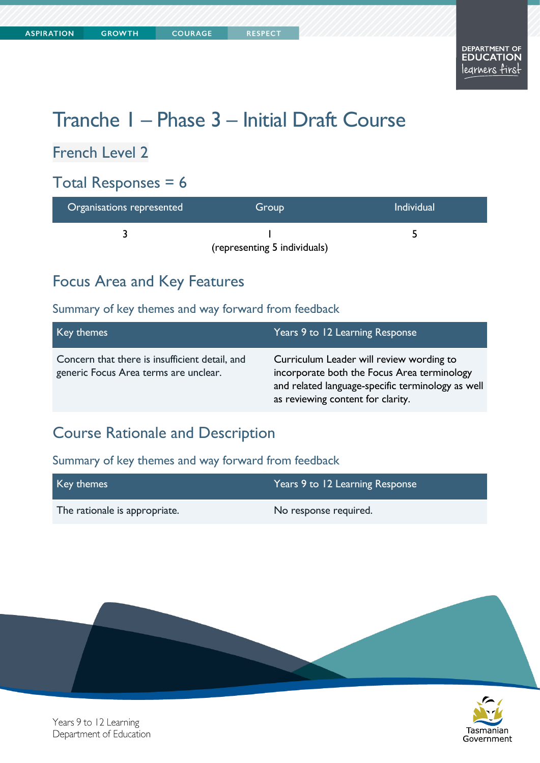# Tranche 1 – Phase 3 – Initial Draft Course

## French Level 2

### Total Responses  $= 6$

| <b>Organisations represented</b> | Group                        | Individual |
|----------------------------------|------------------------------|------------|
|                                  |                              |            |
|                                  | (representing 5 individuals) |            |

### Focus Area and Key Features

#### Summary of key themes and way forward from feedback

| Key themes                                                                              | Years 9 to 12 Learning Response                                                                                                                                                   |
|-----------------------------------------------------------------------------------------|-----------------------------------------------------------------------------------------------------------------------------------------------------------------------------------|
| Concern that there is insufficient detail, and<br>generic Focus Area terms are unclear. | Curriculum Leader will review wording to<br>incorporate both the Focus Area terminology<br>and related language-specific terminology as well<br>as reviewing content for clarity. |

### Course Rationale and Description

| Key themes                    | Years 9 to 12 Learning Response |
|-------------------------------|---------------------------------|
| The rationale is appropriate. | No response required.           |



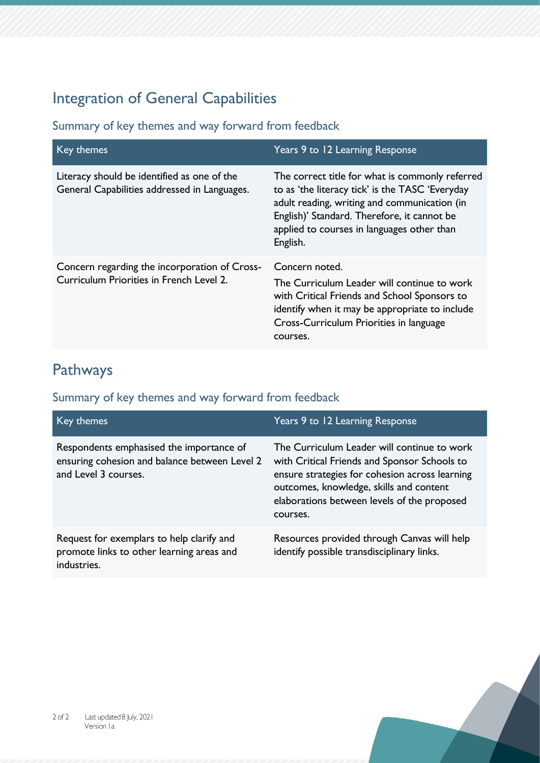# Integration of General Capabilities

Summary of key themes and way forward from feedback

| Key themes                                                                                  | Years 9 to 12 Learning Response                                                                                                                                                                                                                             |
|---------------------------------------------------------------------------------------------|-------------------------------------------------------------------------------------------------------------------------------------------------------------------------------------------------------------------------------------------------------------|
| Literacy should be identified as one of the<br>General Capabilities addressed in Languages. | The correct title for what is commonly referred<br>to as 'the literacy tick' is the TASC 'Everyday<br>adult reading, writing and communication (in<br>English)' Standard. Therefore, it cannot be<br>applied to courses in languages other than<br>English. |
| Concern regarding the incorporation of Cross-<br>Curriculum Priorities in French Level 2.   | Concern noted.<br>The Curriculum Leader will continue to work<br>with Critical Friends and School Sponsors to<br>identify when it may be appropriate to include<br>Cross-Curriculum Priorities in language<br>courses.                                      |

## Pathways

| Key themes                                                                                                        | Years 9 to 12 Learning Response                                                                                                                                                                                                                     |
|-------------------------------------------------------------------------------------------------------------------|-----------------------------------------------------------------------------------------------------------------------------------------------------------------------------------------------------------------------------------------------------|
| Respondents emphasised the importance of<br>ensuring cohesion and balance between Level 2<br>and Level 3 courses. | The Curriculum Leader will continue to work<br>with Critical Friends and Sponsor Schools to<br>ensure strategies for cohesion across learning<br>outcomes, knowledge, skills and content<br>elaborations between levels of the proposed<br>courses. |
| Request for exemplars to help clarify and<br>promote links to other learning areas and<br>industries.             | Resources provided through Canvas will help<br>identify possible transdisciplinary links.                                                                                                                                                           |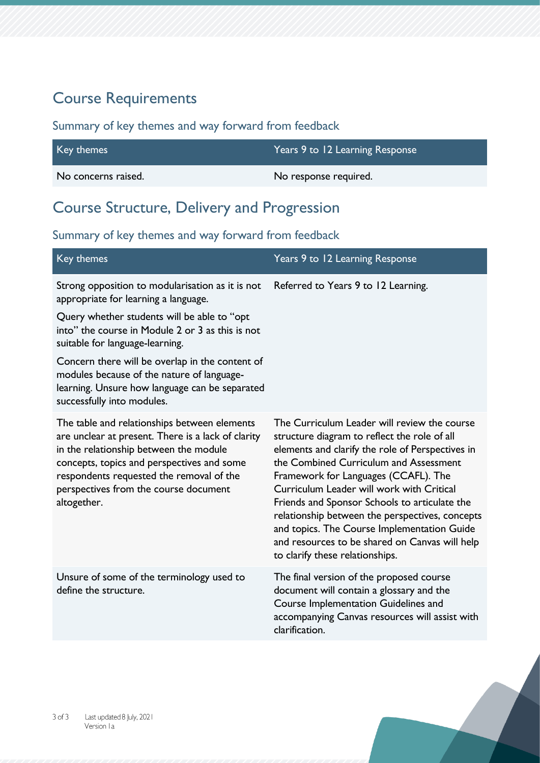## Course Requirements

#### Summary of key themes and way forward from feedback

| Key themes          | Years 9 to 12 Learning Response |
|---------------------|---------------------------------|
| No concerns raised. | No response required.           |

## Course Structure, Delivery and Progression

| Key themes                                                                                                                                                                                                                                                                                     | Years 9 to 12 Learning Response                                                                                                                                                                                                                                                                                                                                                                                                                                                                                         |
|------------------------------------------------------------------------------------------------------------------------------------------------------------------------------------------------------------------------------------------------------------------------------------------------|-------------------------------------------------------------------------------------------------------------------------------------------------------------------------------------------------------------------------------------------------------------------------------------------------------------------------------------------------------------------------------------------------------------------------------------------------------------------------------------------------------------------------|
| Strong opposition to modularisation as it is not<br>appropriate for learning a language.                                                                                                                                                                                                       | Referred to Years 9 to 12 Learning.                                                                                                                                                                                                                                                                                                                                                                                                                                                                                     |
| Query whether students will be able to "opt<br>into" the course in Module 2 or 3 as this is not<br>suitable for language-learning.                                                                                                                                                             |                                                                                                                                                                                                                                                                                                                                                                                                                                                                                                                         |
| Concern there will be overlap in the content of<br>modules because of the nature of language-<br>learning. Unsure how language can be separated<br>successfully into modules.                                                                                                                  |                                                                                                                                                                                                                                                                                                                                                                                                                                                                                                                         |
| The table and relationships between elements<br>are unclear at present. There is a lack of clarity<br>in the relationship between the module<br>concepts, topics and perspectives and some<br>respondents requested the removal of the<br>perspectives from the course document<br>altogether. | The Curriculum Leader will review the course<br>structure diagram to reflect the role of all<br>elements and clarify the role of Perspectives in<br>the Combined Curriculum and Assessment<br>Framework for Languages (CCAFL). The<br>Curriculum Leader will work with Critical<br>Friends and Sponsor Schools to articulate the<br>relationship between the perspectives, concepts<br>and topics. The Course Implementation Guide<br>and resources to be shared on Canvas will help<br>to clarify these relationships. |
| Unsure of some of the terminology used to<br>define the structure.                                                                                                                                                                                                                             | The final version of the proposed course<br>document will contain a glossary and the<br>Course Implementation Guidelines and<br>accompanying Canvas resources will assist with<br>clarification.                                                                                                                                                                                                                                                                                                                        |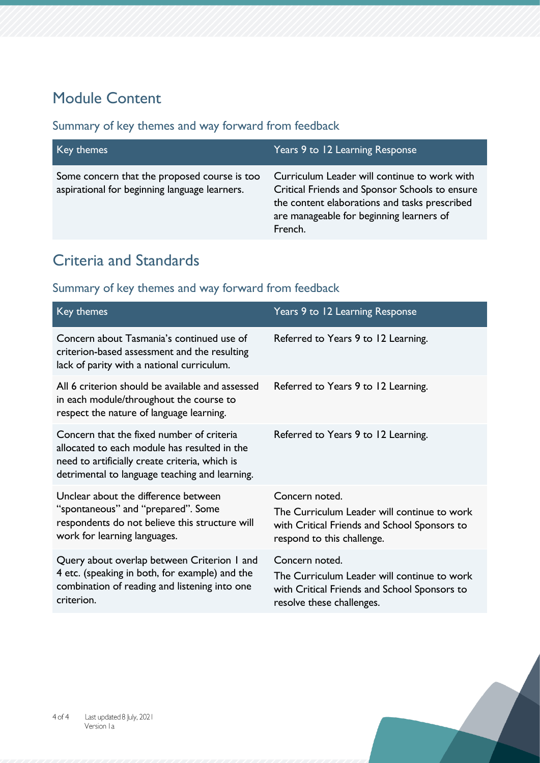# Module Content

#### Summary of key themes and way forward from feedback

| Key themes                                                                                    | Years 9 to 12 Learning Response                                                                                                                                                                        |
|-----------------------------------------------------------------------------------------------|--------------------------------------------------------------------------------------------------------------------------------------------------------------------------------------------------------|
| Some concern that the proposed course is too<br>aspirational for beginning language learners. | Curriculum Leader will continue to work with<br>Critical Friends and Sponsor Schools to ensure<br>the content elaborations and tasks prescribed<br>are manageable for beginning learners of<br>French. |
|                                                                                               |                                                                                                                                                                                                        |

# Criteria and Standards

| Key themes                                                                                                                                                                                    | Years 9 to 12 Learning Response                                                                                                             |
|-----------------------------------------------------------------------------------------------------------------------------------------------------------------------------------------------|---------------------------------------------------------------------------------------------------------------------------------------------|
| Concern about Tasmania's continued use of<br>criterion-based assessment and the resulting<br>lack of parity with a national curriculum.                                                       | Referred to Years 9 to 12 Learning.                                                                                                         |
| All 6 criterion should be available and assessed<br>in each module/throughout the course to<br>respect the nature of language learning.                                                       | Referred to Years 9 to 12 Learning.                                                                                                         |
| Concern that the fixed number of criteria<br>allocated to each module has resulted in the<br>need to artificially create criteria, which is<br>detrimental to language teaching and learning. | Referred to Years 9 to 12 Learning.                                                                                                         |
| Unclear about the difference between<br>"spontaneous" and "prepared". Some<br>respondents do not believe this structure will<br>work for learning languages.                                  | Concern noted.<br>The Curriculum Leader will continue to work<br>with Critical Friends and School Sponsors to<br>respond to this challenge. |
| Query about overlap between Criterion I and<br>4 etc. (speaking in both, for example) and the<br>combination of reading and listening into one<br>criterion.                                  | Concern noted.<br>The Curriculum Leader will continue to work<br>with Critical Friends and School Sponsors to<br>resolve these challenges.  |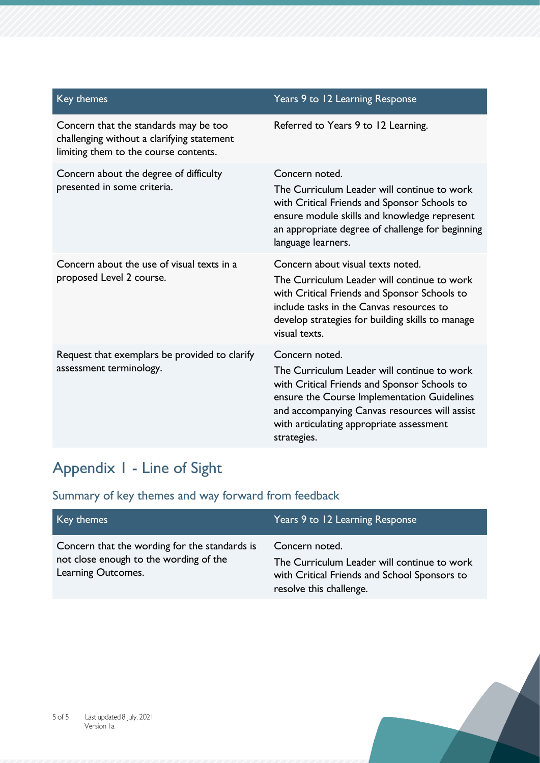| Key themes                                                                                                                   | Years 9 to 12 Learning Response                                                                                                                                                                                                                                          |
|------------------------------------------------------------------------------------------------------------------------------|--------------------------------------------------------------------------------------------------------------------------------------------------------------------------------------------------------------------------------------------------------------------------|
| Concern that the standards may be too<br>challenging without a clarifying statement<br>limiting them to the course contents. | Referred to Years 9 to 12 Learning.                                                                                                                                                                                                                                      |
| Concern about the degree of difficulty<br>presented in some criteria.                                                        | Concern noted.<br>The Curriculum Leader will continue to work<br>with Critical Friends and Sponsor Schools to<br>ensure module skills and knowledge represent<br>an appropriate degree of challenge for beginning<br>language learners.                                  |
| Concern about the use of visual texts in a<br>proposed Level 2 course.                                                       | Concern about visual texts noted.<br>The Curriculum Leader will continue to work<br>with Critical Friends and Sponsor Schools to<br>include tasks in the Canvas resources to<br>develop strategies for building skills to manage<br>visual texts.                        |
| Request that exemplars be provided to clarify<br>assessment terminology.                                                     | Concern noted.<br>The Curriculum Leader will continue to work<br>with Critical Friends and Sponsor Schools to<br>ensure the Course Implementation Guidelines<br>and accompanying Canvas resources will assist<br>with articulating appropriate assessment<br>strategies. |

# Appendix 1 - Line of Sight

| Key themes                                                                                                    | Years 9 to 12 Learning Response                                                                                                          |
|---------------------------------------------------------------------------------------------------------------|------------------------------------------------------------------------------------------------------------------------------------------|
| Concern that the wording for the standards is<br>not close enough to the wording of the<br>Learning Outcomes. | Concern noted.<br>The Curriculum Leader will continue to work<br>with Critical Friends and School Sponsors to<br>resolve this challenge. |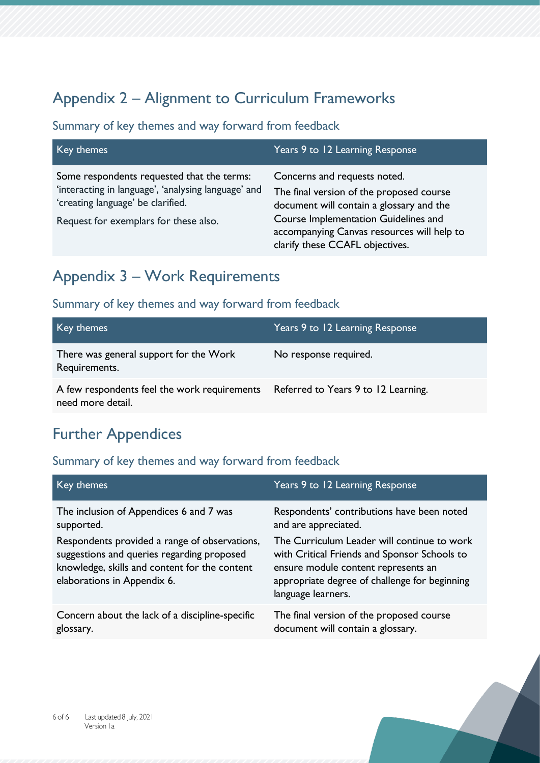# Appendix 2 – Alignment to Curriculum Frameworks

#### Summary of key themes and way forward from feedback

| Key themes                                                                                                                                                                      | Years 9 to 12 Learning Response                                                                                                                                                                                                               |
|---------------------------------------------------------------------------------------------------------------------------------------------------------------------------------|-----------------------------------------------------------------------------------------------------------------------------------------------------------------------------------------------------------------------------------------------|
| Some respondents requested that the terms:<br>'interacting in language', 'analysing language' and<br>'creating language' be clarified.<br>Request for exemplars for these also. | Concerns and requests noted.<br>The final version of the proposed course<br>document will contain a glossary and the<br>Course Implementation Guidelines and<br>accompanying Canvas resources will help to<br>clarify these CCAFL objectives. |

### Appendix 3 – Work Requirements

#### Summary of key themes and way forward from feedback

| Key themes                                                                                            | Years 9 to 12 Learning Response |
|-------------------------------------------------------------------------------------------------------|---------------------------------|
| There was general support for the Work<br>Requirements.                                               | No response required.           |
| A few respondents feel the work requirements Referred to Years 9 to 12 Learning.<br>need more detail. |                                 |

### Further Appendices

| Key themes                                                                                                                                                                                                                           | Years 9 to 12 Learning Response                                                                                                                                                                                                                                                 |
|--------------------------------------------------------------------------------------------------------------------------------------------------------------------------------------------------------------------------------------|---------------------------------------------------------------------------------------------------------------------------------------------------------------------------------------------------------------------------------------------------------------------------------|
| The inclusion of Appendices 6 and 7 was<br>supported.<br>Respondents provided a range of observations,<br>suggestions and queries regarding proposed<br>knowledge, skills and content for the content<br>elaborations in Appendix 6. | Respondents' contributions have been noted<br>and are appreciated.<br>The Curriculum Leader will continue to work<br>with Critical Friends and Sponsor Schools to<br>ensure module content represents an<br>appropriate degree of challenge for beginning<br>language learners. |
| Concern about the lack of a discipline-specific<br>glossary.                                                                                                                                                                         | The final version of the proposed course<br>document will contain a glossary.                                                                                                                                                                                                   |